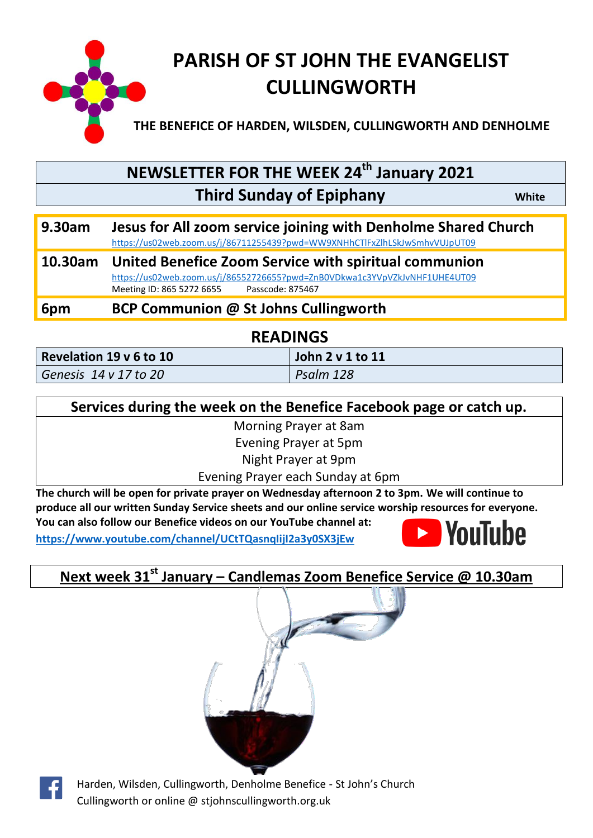

# **NEWSLETTER FOR THE WEEK 24th January 2021 Third Sunday of Epiphany** *White*

| 9.30am | Jesus for All zoom service joining with Denholme Shared Church             |
|--------|----------------------------------------------------------------------------|
|        | https://us02web.zoom.us/j/86711255439?pwd=WW9XNHhCTlFxZlhLSkJwSmhvVUJpUT09 |

#### **10.30am United Benefice Zoom Service with spiritual communion** <https://us02web.zoom.us/j/86552726655?pwd=ZnB0VDkwa1c3YVpVZkJvNHF1UHE4UT09><br>Meeting ID: 865 5272 6655 Passcode: 875467 Meeting ID: 865 5272 6655

**6pm BCP Communion @ St Johns Cullingworth** 

## **READINGS**

| Revelation 19 v 6 to 10    |  |  |
|----------------------------|--|--|
| Genesis $14 \vee 17$ to 20 |  |  |

|  |  | Services during the week on the Benefice Facebook page or catch up. |
|--|--|---------------------------------------------------------------------|
|  |  |                                                                     |

**John 2 v 1 to 11** 

*Genesis 14 v 17 to 20 Psalm 128*

Morning Prayer at 8am

Evening Prayer at 5pm

Night Prayer at 9pm

Evening Prayer each Sunday at 6pm

**The church will be open for private prayer on Wednesday afternoon 2 to 3pm. We will continue to produce all our written Sunday Service sheets and our online service worship resources for everyone. You can also follow our Benefice videos on our YouTube channel at:** 

**<https://www.youtube.com/channel/UCtTQasnqIijI2a3y0SX3jEw>**



# **Next week 31st January – Candlemas Zoom Benefice Service @ 10.30am**





Harden, Wilsden, Cullingworth, Denholme Benefice - St John's Church Cullingworth or online @ stjohnscullingworth.org.uk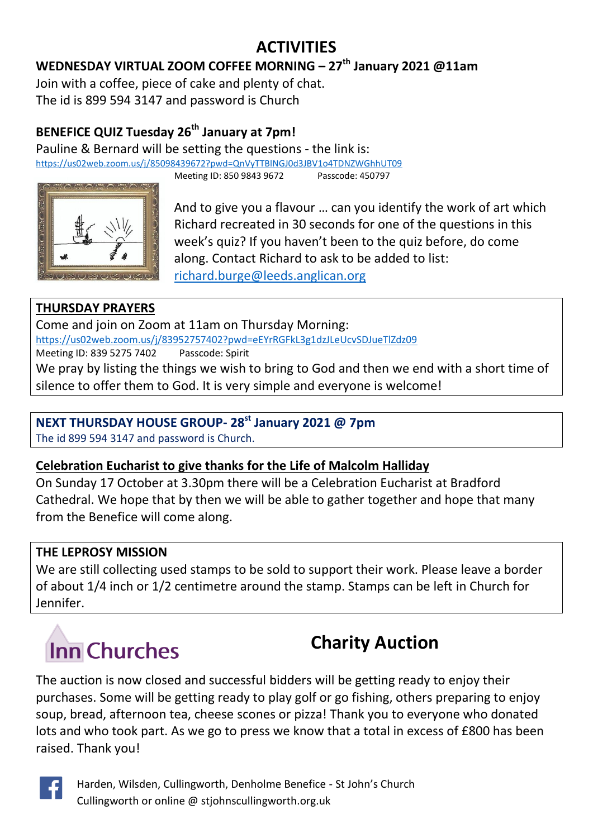# **ACTIVITIES**

## **WEDNESDAY VIRTUAL ZOOM COFFEE MORNING – 27th January 2021 @11am**

Join with a coffee, piece of cake and plenty of chat. The id is 899 594 3147 and password is Church

## **BENEFICE QUIZ Tuesday 26th January at 7pm!**

Pauline & Bernard will be setting the questions - the link is: <https://us02web.zoom.us/j/85098439672?pwd=QnVyTTBlNGJ0d3JBV1o4TDNZWGhhUT09>

Meeting ID: 850 9843 9672 Passcode: 450797



And to give you a flavour … can you identify the work of art which Richard recreated in 30 seconds for one of the questions in this week's quiz? If you haven't been to the quiz before, do come along. Contact Richard to ask to be added to list: [richard.burge@leeds.anglican.org](file:///C:/Users/Bernard/AppData/Local/Temp/richard.burge@leeds.anglican.org)

### **THURSDAY PRAYERS**

Come and join on Zoom at 11am on Thursday Morning: <https://us02web.zoom.us/j/83952757402?pwd=eEYrRGFkL3g1dzJLeUcvSDJueTlZdz09> Meeting ID: 839 5275 7402 Passcode: Spirit We pray by listing the things we wish to bring to God and then we end with a short time of silence to offer them to God. It is very simple and everyone is welcome!

## **NEXT THURSDAY HOUSE GROUP- 28st January 2021 @ 7pm**

The id 899 594 3147 and password is Church.

#### **Celebration Eucharist to give thanks for the Life of Malcolm Halliday**

On Sunday 17 October at 3.30pm there will be a Celebration Eucharist at Bradford Cathedral. We hope that by then we will be able to gather together and hope that many from the Benefice will come along.

#### **THE LEPROSY MISSION**

We are still collecting used stamps to be sold to support their work. Please leave a border of about 1/4 inch or 1/2 centimetre around the stamp. Stamps can be left in Church for Jennifer.

# **Inn Churches**

# **Charity Auction**

The auction is now closed and successful bidders will be getting ready to enjoy their purchases. Some will be getting ready to play golf or go fishing, others preparing to enjoy soup, bread, afternoon tea, cheese scones or pizza! Thank you to everyone who donated lots and who took part. As we go to press we know that a total in excess of £800 has been raised. Thank you!



Harden, Wilsden, Cullingworth, Denholme Benefice - St John's Church Cullingworth or online @ stjohnscullingworth.org.uk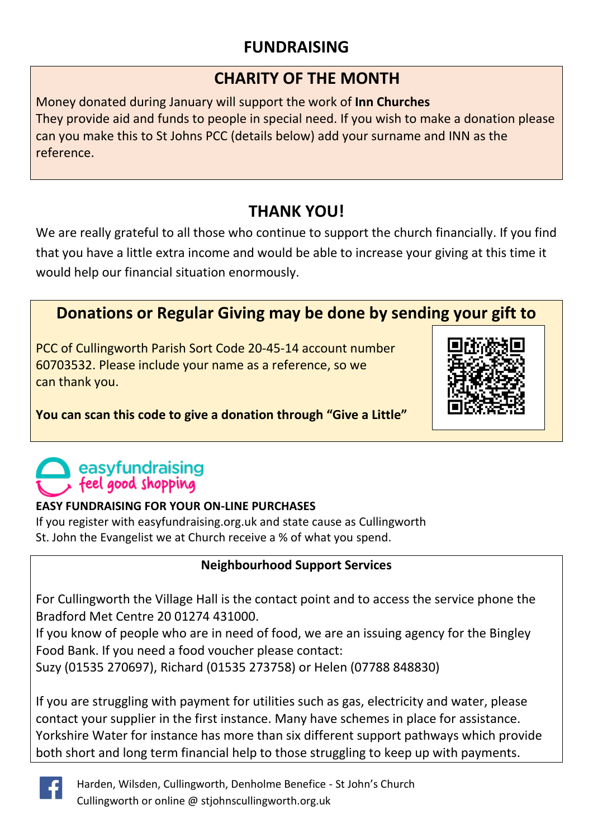## **FUNDRAISING**

## **CHARITY OF THE MONTH**

Money donated during January will support the work of **Inn Churches** They provide aid and funds to people in special need. If you wish to make a donation please can you make this to St Johns PCC (details below) add your surname and INN as the reference.

## **THANK YOU!**

We are really grateful to all those who continue to support the church financially. If you find that you have a little extra income and would be able to increase your giving at this time it would help our financial situation enormously.

## **Donations or Regular Giving may be done by sending your gift to**

PCC of Cullingworth Parish Sort Code 20-45-14 account number 60703532. Please include your name as a reference, so we can thank you.



## **You can scan this code to give a donation through "Give a Little"**

# easyfundraising feel good shopping

#### **EASY FUNDRAISING FOR YOUR ON-LINE PURCHASES**

If you register with easyfundraising.org.uk and state cause as Cullingworth St. John the Evangelist we at Church receive a % of what you spend.

## **Neighbourhood Support Services**

For Cullingworth the Village Hall is the contact point and to access the service phone the Bradford Met Centre 20 01274 431000.

If you know of people who are in need of food, we are an issuing agency for the Bingley Food Bank. If you need a food voucher please contact:

Suzy (01535 270697), Richard (01535 273758) or Helen (07788 848830)

If you are struggling with payment for utilities such as gas, electricity and water, please contact your supplier in the first instance. Many have schemes in place for assistance. Yorkshire Water for instance has more than six different support pathways which provide both short and long term financial help to those struggling to keep up with payments.